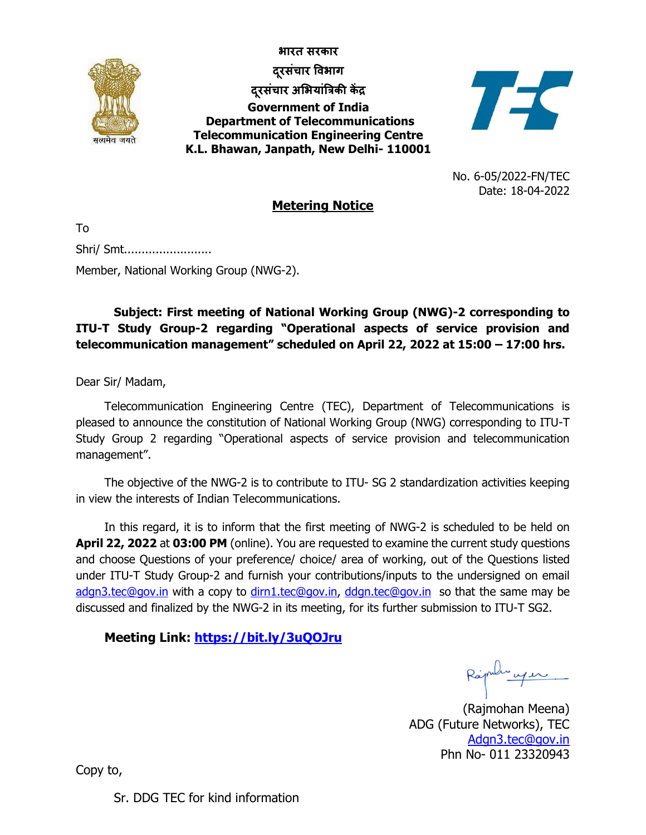

**[भारत](https://india.gov.in/hi/) [सरकार](https://india.gov.in/hi/) [दरूसचं](https://dot.gov.in/) ार [विभाग](https://dot.gov.in/) दरूसचं ार अभभयांत्रिकी कें द्र [Government of India](https://india.gov.in/) [Department of Telecommunications](https://dot.gov.in/) Telecommunication Engineering Centre K.L. Bhawan, Janpath, New Delhi- 110001**



No. 6-05/2022-FN/TEC Date: 18-04-2022

## **Metering Notice**

To Shri/ Smt......................... Member, National Working Group (NWG-2).

## **Subject: First meeting of National Working Group (NWG)-2 corresponding to ITU-T Study Group-2 regarding "Operational aspects of service provision and telecommunication management" scheduled on April 22, 2022 at 15:00 – 17:00 hrs.**

Dear Sir/ Madam,

Telecommunication Engineering Centre (TEC), Department of Telecommunications is pleased to announce the constitution of National Working Group (NWG) corresponding to ITU-T Study Group 2 regarding "Operational aspects of service provision and telecommunication management".

The objective of the NWG-2 is to contribute to ITU- SG 2 standardization activities keeping in view the interests of Indian Telecommunications.

In this regard, it is to inform that the first meeting of NWG-2 is scheduled to be held on **April 22, 2022** at **03:00 PM** (online). You are requested to examine the current study questions and choose Questions of your preference/ choice/ area of working, out of the Questions listed under ITU-T Study Group-2 and furnish your contributions/inputs to the undersigned on email [adgn3.tec@gov.in](mailto:adgn3.tec@gov.in) with a copy to [dirn1.tec@gov.in,](mailto:dirn1.tec@gov.in) [ddgn.tec@gov.in](mailto:ddgn.tec@gov.in) so that the same may be discussed and finalized by the NWG-2 in its meeting, for its further submission to ITU-T SG2.

#### **Meeting Link:<https://bit.ly/3uQOJru>**

(Rajmohan Meena) ADG (Future Networks), TEC Adgn3.tec@gov.in Phn No- 011 23320943

Copy to,

Sr. DDG TEC for kind information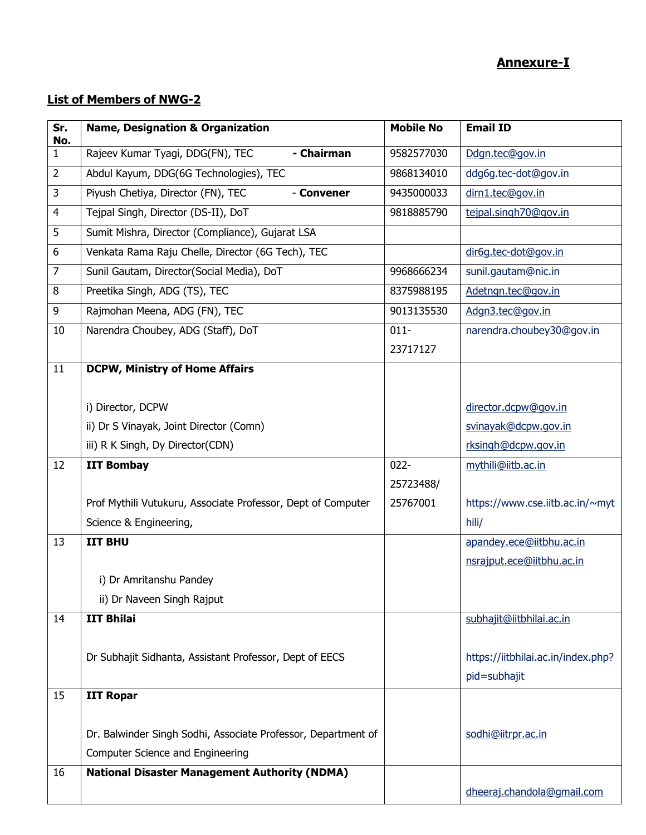## **Annexure-I**

# **List of Members of NWG-2**

| Sr.<br>No.     | <b>Name, Designation &amp; Organization</b>                   | <b>Mobile No</b> | <b>Email ID</b>                    |
|----------------|---------------------------------------------------------------|------------------|------------------------------------|
| $\mathbf{1}$   | Rajeev Kumar Tyagi, DDG(FN), TEC<br>- Chairman                | 9582577030       | Ddgn.tec@gov.in                    |
| $\overline{2}$ | Abdul Kayum, DDG(6G Technologies), TEC                        | 9868134010       | ddg6g.tec-dot@gov.in               |
| 3              | Piyush Chetiya, Director (FN), TEC<br>- Convener              | 9435000033       | dirn1.tec@gov.in                   |
| $\overline{4}$ | Tejpal Singh, Director (DS-II), DoT                           | 9818885790       | tejpal.singh70@gov.in              |
| 5              | Sumit Mishra, Director (Compliance), Gujarat LSA              |                  |                                    |
| 6              | Venkata Rama Raju Chelle, Director (6G Tech), TEC             |                  | dir6g.tec-dot@gov.in               |
| $\overline{7}$ | Sunil Gautam, Director(Social Media), DoT                     | 9968666234       | sunil.gautam@nic.in                |
| 8              | Preetika Singh, ADG (TS), TEC                                 | 8375988195       | Adetngn.tec@gov.in                 |
| 9              | Rajmohan Meena, ADG (FN), TEC                                 | 9013135530       | Adgn3.tec@gov.in                   |
| 10             | Narendra Choubey, ADG (Staff), DoT                            | $011 -$          | narendra.choubey30@gov.in          |
|                |                                                               | 23717127         |                                    |
| 11             | <b>DCPW, Ministry of Home Affairs</b>                         |                  |                                    |
|                |                                                               |                  |                                    |
|                | i) Director, DCPW                                             |                  | director.dcpw@gov.in               |
|                | ii) Dr S Vinayak, Joint Director (Comn)                       |                  | svinayak@dcpw.gov.in               |
|                | iii) R K Singh, Dy Director(CDN)                              |                  | rksingh@dcpw.gov.in                |
| 12             | <b>IIT Bombay</b>                                             | $022 -$          | mythili@iitb.ac.in                 |
|                |                                                               | 25723488/        |                                    |
|                |                                                               |                  | https://www.cse.iitb.ac.in/~myt    |
|                | Prof Mythili Vutukuru, Associate Professor, Dept of Computer  | 25767001         |                                    |
|                | Science & Engineering,                                        |                  | hili/                              |
| 13             | <b>IIT BHU</b>                                                |                  | apandey.ece@iitbhu.ac.in           |
|                |                                                               |                  | nsrajput.ece@iitbhu.ac.in          |
|                | i) Dr Amritanshu Pandey                                       |                  |                                    |
|                | ii) Dr Naveen Singh Rajput                                    |                  |                                    |
| 14             | <b>IIT Bhilai</b>                                             |                  | subhajit@iitbhilai.ac.in           |
|                |                                                               |                  |                                    |
|                | Dr Subhajit Sidhanta, Assistant Professor, Dept of EECS       |                  | https://iitbhilai.ac.in/index.php? |
|                |                                                               |                  | pid=subhajit                       |
| 15             | <b>IIT Ropar</b>                                              |                  |                                    |
|                |                                                               |                  |                                    |
|                | Dr. Balwinder Singh Sodhi, Associate Professor, Department of |                  | sodhi@iitrpr.ac.in                 |
|                | Computer Science and Engineering                              |                  |                                    |
| 16             | <b>National Disaster Management Authority (NDMA)</b>          |                  |                                    |